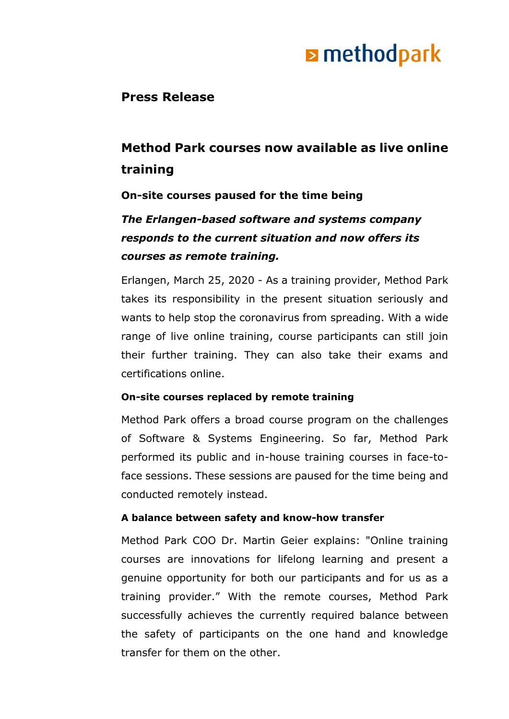# **E** methodpark

## **Press Release**

# **Method Park courses now available as live online training**

### **On-site courses paused for the time being**

## *The Erlangen-based software and systems company responds to the current situation and now offers its courses as remote training.*

Erlangen, March 25, 2020 - As a training provider, Method Park takes its responsibility in the present situation seriously and wants to help stop the coronavirus from spreading. With a wide range of live online training, course participants can still join their further training. They can also take their exams and certifications online.

#### **On-site courses replaced by remote training**

Method Park offers a broad course program on the challenges of Software & Systems Engineering. So far, Method Park performed its public and in-house training courses in face-toface sessions. These sessions are paused for the time being and conducted remotely instead.

#### **A balance between safety and know-how transfer**

Method Park COO Dr. Martin Geier explains: "Online training courses are innovations for lifelong learning and present a genuine opportunity for both our participants and for us as a training provider." With the remote courses, Method Park successfully achieves the currently required balance between the safety of participants on the one hand and knowledge transfer for them on the other.